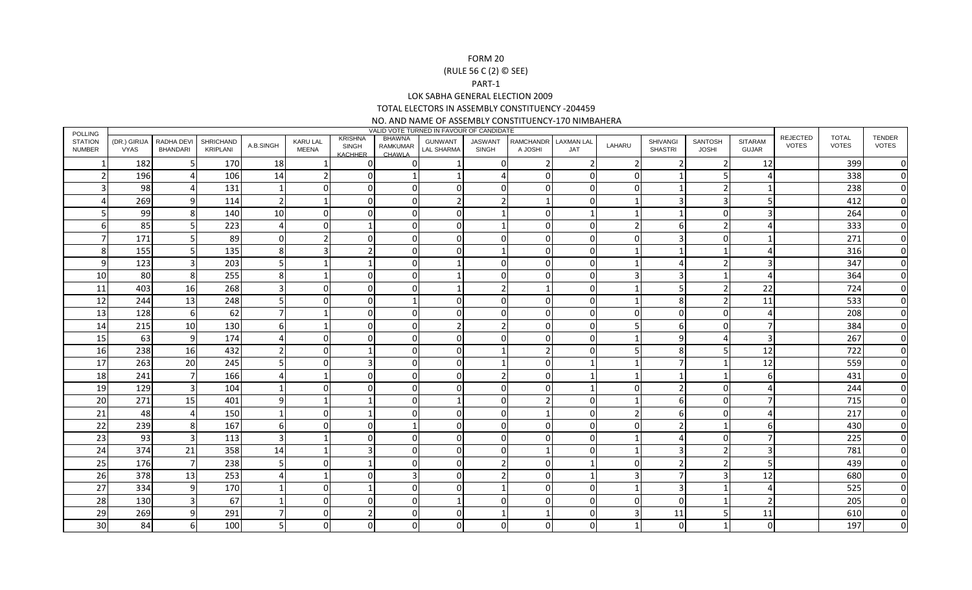## FORM 20 (RULE 56 C (2) © SEE)PART-1 LOK SABHA GENERAL ELECTION 2009 TOTAL ELECTORS IN ASSEMBLY CONSTITUENCY -204459

NO. AND NAME OF ASSEMBLY CONSTITUENCY-170 NIMBAHERA

|                                 | VALID VOTE TURNED IN FAVOUR OF CANDIDATE<br><b>POLLING</b><br><b>REJECTED</b><br><b>TOTAL</b><br>KRISHNA<br>BHAWNA |                        |                              |           |                                 |                         |                    |                              |                                |                             |                          |              |                                   |                         |                                |              |              |                               |
|---------------------------------|--------------------------------------------------------------------------------------------------------------------|------------------------|------------------------------|-----------|---------------------------------|-------------------------|--------------------|------------------------------|--------------------------------|-----------------------------|--------------------------|--------------|-----------------------------------|-------------------------|--------------------------------|--------------|--------------|-------------------------------|
| <b>STATION</b><br><b>NUMBER</b> | (DR.) GIRIJA<br><b>VYAS</b>                                                                                        | RADHA DEVI<br>BHANDARI | <b>SHRICHAND</b><br>KRIPLANI | A.B.SINGH | <b>KARU LAL</b><br><b>MEENA</b> | <b>SINGH</b><br>KACHHER | RAMKUMAR<br>CHAWLA | <b>GUNWANT</b><br>LAL SHARMA | <b>JASWANT</b><br><b>SINGH</b> | <b>RAMCHANDR</b><br>A JOSHI | <b>LAXMAN LAL</b><br>JAT | LAHARU       | <b>SHIVANGI</b><br><b>SHASTRI</b> | SANTOSH<br><b>JOSHI</b> | <b>SITARAM</b><br><b>GUJAR</b> | <b>VOTES</b> | <b>VOTES</b> | <b>TENDER</b><br><b>VOTES</b> |
| 1                               | 182                                                                                                                |                        | 170                          | 18        |                                 | $\Omega$                | $\Omega$           |                              | ∩                              |                             |                          | -2           |                                   | $\mathcal{P}$           | 12                             |              | 399          | $\Omega$                      |
|                                 | 196                                                                                                                |                        | 106                          | 14        |                                 |                         |                    |                              |                                | n                           |                          | <sup>n</sup> |                                   | 5                       | Δ                              |              | 338          | $\Omega$                      |
|                                 | 98                                                                                                                 |                        | 131                          |           |                                 | 0                       | O                  | O                            |                                |                             |                          | $\Omega$     | $\mathbf 1$                       | $\overline{2}$          |                                |              | 238          |                               |
|                                 | 269                                                                                                                |                        | 114                          | 2         |                                 |                         | O                  |                              |                                |                             |                          |              |                                   | 3                       | 5                              |              | 412          | <sup>0</sup>                  |
|                                 | 99                                                                                                                 |                        | 140                          | 10        |                                 |                         |                    | N                            |                                |                             |                          |              |                                   | $\Omega$                | 3                              |              | 264          |                               |
|                                 | 85                                                                                                                 |                        | 223                          |           |                                 |                         | O                  | O                            |                                |                             |                          |              | 6                                 | $\overline{2}$          |                                |              | 333          |                               |
|                                 | 171                                                                                                                |                        | 89                           |           |                                 |                         | O                  |                              |                                |                             |                          | <sup>n</sup> | 3                                 | 0                       |                                |              | 271          | $\Omega$                      |
| 8                               | 155                                                                                                                |                        | 135                          | 8         |                                 |                         | U                  |                              |                                |                             |                          |              |                                   |                         |                                |              | 316          | $\Omega$                      |
| 9                               | 123                                                                                                                |                        | 203                          | 5         |                                 |                         | O                  |                              |                                | <sup>0</sup>                |                          |              |                                   | $\overline{2}$          | 3                              |              | 347          | <sup>0</sup>                  |
| 10                              | 80                                                                                                                 | 8                      | 255                          | 8         |                                 |                         | O                  |                              |                                |                             |                          |              | 3                                 |                         |                                |              | 364          |                               |
| 11                              | 403                                                                                                                | 16                     | 268                          |           |                                 |                         | U                  |                              |                                |                             |                          |              | .5                                | 2                       | 22                             |              | 724          | <sup>0</sup>                  |
| 12                              | 244                                                                                                                | 13                     | 248                          |           |                                 |                         |                    |                              |                                |                             |                          |              | 8                                 | 2                       | 11                             |              | 533          |                               |
| 13                              | 128                                                                                                                | 6                      | 62                           |           |                                 |                         | ŋ                  |                              |                                | $\Omega$                    |                          | <sup>n</sup> | $\Omega$                          | $\Omega$                | 4                              |              | 208          |                               |
| 14                              | 215                                                                                                                | 10                     | 130                          |           |                                 |                         | O                  |                              |                                | $\Omega$                    |                          |              | 6                                 | $\overline{0}$          | 7                              |              | 384          | $\Omega$                      |
| 15                              | 63                                                                                                                 | 9                      | 174                          |           |                                 |                         |                    |                              |                                |                             |                          |              | 9                                 | 4                       | $\overline{3}$                 |              | 267          |                               |
| 16                              | 238                                                                                                                | 16                     | 432                          |           |                                 |                         |                    |                              |                                |                             |                          |              | 8                                 | 5                       | 12                             |              | 722          | $\Omega$                      |
| 17                              | 263                                                                                                                | 20                     | 245                          |           |                                 |                         | O                  | ŋ                            |                                | $\Omega$                    |                          |              |                                   | 1                       | 12                             |              | 559          | $\Omega$                      |
| 18                              | 241                                                                                                                |                        | 166                          |           |                                 |                         |                    |                              |                                |                             |                          |              |                                   |                         | 6                              |              | 431          |                               |
| 19                              | 129                                                                                                                |                        | 104                          |           |                                 |                         | ŋ                  | ი                            |                                | <sup>0</sup>                |                          | $\cap$       |                                   | 0                       | Δ                              |              | 244          |                               |
| 20                              | 271                                                                                                                | 15                     | 401                          |           |                                 |                         | ŋ                  |                              |                                |                             |                          |              | h                                 | $\Omega$                | 7                              |              | 715          |                               |
| 21                              | 48                                                                                                                 |                        | 150                          |           | C                               |                         | U                  | O                            |                                |                             |                          |              | 6                                 | $\overline{0}$          | Δ                              |              | 217          | $\Omega$                      |
| 22                              | 239                                                                                                                | 8                      | 167                          | 6         |                                 | O                       |                    |                              |                                | <sup>0</sup>                |                          | $\cap$       |                                   | 1                       | 61                             |              | 430          | 0                             |
| 23                              | 93                                                                                                                 |                        | 113                          | 3         |                                 |                         |                    |                              |                                |                             |                          |              |                                   | $\Omega$                | $\overline{7}$                 |              | 225          |                               |
| 24                              | 374                                                                                                                | 21                     | 358                          | 14        |                                 |                         | U                  | n                            |                                |                             |                          |              | 3                                 | $\overline{2}$          | 3                              |              | 781          | $\Omega$                      |
| 25                              | 176                                                                                                                |                        | 238                          | 5         |                                 |                         |                    |                              |                                |                             |                          |              |                                   | $\overline{2}$          | 5                              |              | 439          |                               |
| 26                              | 378                                                                                                                | 13                     | 253                          |           |                                 |                         |                    |                              |                                |                             |                          |              |                                   | 3                       | 12                             |              | 680          |                               |
| 27                              | 334                                                                                                                | $\mathbf{Q}$           | 170                          |           | O                               |                         | $\Omega$           | n                            |                                | $\Omega$                    | n                        |              | 3                                 | 1                       | 4                              |              | 525          | $\Omega$                      |
| 28                              | 130                                                                                                                |                        | 67                           |           |                                 |                         |                    |                              |                                |                             |                          | $\Omega$     | $\Omega$                          | 1                       | $\overline{2}$                 |              | 205          | O                             |
| 29                              | 269                                                                                                                |                        | 291                          |           |                                 |                         | O                  |                              |                                |                             |                          | 3            | 11                                | 5                       | 11                             |              | 610          | 0                             |
| 30                              | 84                                                                                                                 |                        | 100                          |           |                                 |                         | O                  |                              |                                |                             |                          |              | $\Omega$                          |                         | $\Omega$                       |              | 197          |                               |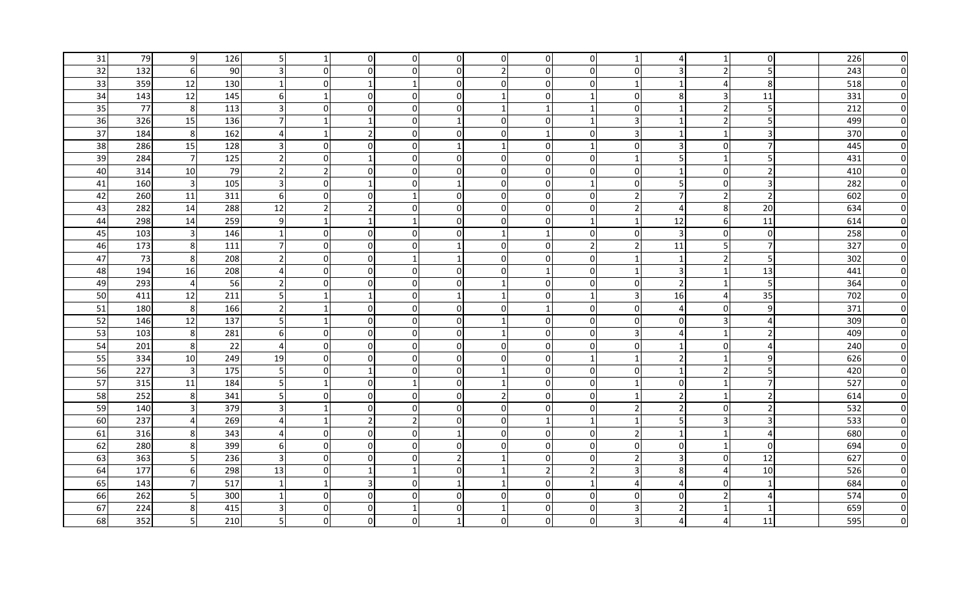| 31 | 79  | 9                       | 126 |                |                | $\overline{0}$ | 0              | 0                        | $\overline{0}$ |             | 0I             |                       |                |                  | $\overline{0}$ | 226 | <sup>0</sup> |
|----|-----|-------------------------|-----|----------------|----------------|----------------|----------------|--------------------------|----------------|-------------|----------------|-----------------------|----------------|------------------|----------------|-----|--------------|
| 32 | 132 | 6                       | 90  |                | $\Omega$       | $\mathbf 0$    | $\mathbf{0}$   | $\Omega$                 | $\overline{2}$ |             | $\Omega$       | $\Omega$              | 3              | $\overline{2}$   | 5              | 243 |              |
| 33 | 359 | 12                      | 130 |                | $\Omega$       | 1              | -1             | $\Omega$                 | $\overline{0}$ | $\Omega$    | $\overline{0}$ | $\mathbf{1}$          | 1              | 4                | 8 <sup>°</sup> | 518 |              |
| 34 | 143 | 12                      | 145 | 6              | $\overline{1}$ | $\mathbf 0$    | 0              | $\Omega$                 |                | $\Omega$    | -1             | $\Omega$              | 8              | 3                | 11             | 331 |              |
| 35 | 77  | 8 <sup>2</sup>          | 113 | $\overline{3}$ | $\overline{0}$ | $\mathbf 0$    | 0              | $\overline{0}$           | $\mathbf{1}$   | $\mathbf 1$ | $\mathbf 1$    | $\mathbf 0$           | $\mathbf{1}$   | $\overline{2}$   | 5 <sup>1</sup> | 212 |              |
| 36 | 326 | 15                      | 136 | 7 <sup>1</sup> | $\mathbf 1$    | $\mathbf{1}$   | 0              |                          | $\overline{0}$ | $\Omega$    | $\mathbf{1}$   | 3                     | $\mathbf{1}$   | $\overline{2}$   | 5 <sup>1</sup> | 499 |              |
| 37 | 184 | 8                       | 162 | $\overline{4}$ |                | $\overline{2}$ | 0              | $\Omega$                 | $\overline{0}$ |             | $\Omega$       | 3                     | 1              | 1                | $\overline{3}$ | 370 |              |
| 38 | 286 | 15                      | 128 | $\overline{3}$ | $\Omega$       | $\mathbf 0$    | $\Omega$       |                          |                | $\Omega$    | $\mathbf 1$    | $\Omega$              | 3              | $\overline{0}$   | $\overline{7}$ | 445 |              |
| 39 | 284 | $7\overline{}$          | 125 | $\overline{2}$ | $\overline{0}$ | $\mathbf{1}$   | 0              | $\overline{0}$           | οI             | $\Omega$    | $\overline{0}$ | -1                    | 5              | 1                | 5 <sup>1</sup> | 431 |              |
| 40 | 314 | 10                      | 79  | $\overline{2}$ | $\overline{2}$ | $\mathbf 0$    | 0              | $\Omega$                 | $\overline{0}$ | $\Omega$    | $\Omega$       | $\mathbf 0$           | $\mathbf{1}$   | $\overline{0}$   | $\overline{2}$ | 410 |              |
| 41 | 160 | $\overline{3}$          | 105 | $\overline{3}$ | $\overline{0}$ | $\mathbf{1}$   | $\mathbf{0}$   |                          | $\overline{0}$ | $\Omega$    | $\mathbf{1}$   | $\mathbf 0$           | 5              | $\overline{0}$   | $\overline{3}$ | 282 |              |
| 42 | 260 | 11                      | 311 | $6 \mid$       | $\Omega$       | $\Omega$       | $\mathbf{1}$   | $\Omega$                 | $\Omega$       | O           | $\Omega$       | $\overline{2}$        | $\overline{7}$ | $\overline{2}$   | $\overline{2}$ | 602 | O            |
| 43 | 282 | 14                      | 288 | 12             | $\overline{2}$ | $\overline{2}$ | $\mathbf{0}$   | $\Omega$                 | $\overline{0}$ | U           | $\overline{0}$ | $\overline{2}$        | 4              | 8 <sup>°</sup>   | 20             | 634 | O            |
| 44 | 298 | 14                      | 259 | 9              | $\mathbf{1}$   | $\mathbf{1}$   | $\mathbf 1$    | $\overline{0}$           | $\overline{0}$ | $\Omega$    | $\mathbf 1$    | $\mathbf{1}$          | 12             | $6 \overline{6}$ | 11             | 614 | $\Omega$     |
| 45 | 103 | $\overline{3}$          | 146 | $1\vert$       | $\overline{0}$ | $\mathbf 0$    | $\Omega$       | $\Omega$                 |                |             | 0I             | 0                     | $\overline{3}$ | $\overline{0}$   | $\overline{0}$ | 258 | O            |
| 46 | 173 | 8 <sup>1</sup>          | 111 | 7 <sup>1</sup> | $\overline{0}$ | $\overline{0}$ | 0              |                          | $\overline{0}$ | $\Omega$    | $\overline{2}$ | $\overline{2}$        | 11             | 5 <sub>l</sub>   | $\overline{7}$ | 327 | O            |
| 47 | 73  | 8                       | 208 | $\overline{2}$ | $\overline{0}$ | $\overline{0}$ | 1              | 1                        | $\overline{0}$ | $\Omega$    | $\overline{0}$ | $\mathbf{1}$          | $\mathbf{1}$   | $\overline{2}$   | 5              | 302 | O            |
| 48 | 194 | 16                      | 208 | $\overline{4}$ | $\overline{0}$ | $\overline{0}$ | $\overline{0}$ | 0l                       | $\overline{0}$ |             | $\overline{0}$ | $\mathbf{1}$          | 3              | $\mathbf{1}$     | 13             | 441 | O            |
| 49 | 293 | $\overline{a}$          | 56  | $\overline{2}$ | $\overline{0}$ | $\mathbf{0}$   | $\Omega$       | $\Omega$                 |                |             | $\overline{0}$ | $\Omega$              | $\overline{2}$ | 1                | 5              | 364 |              |
| 50 | 411 | 12                      | 211 | 5 <sup>1</sup> |                | $\mathbf{1}$   | 0              |                          |                |             | -1             | 3                     | 16             | 4                | 35             | 702 |              |
| 51 | 180 | 8 <sup>°</sup>          | 166 | $\overline{2}$ |                | $\mathbf 0$    | 0              | $\overline{0}$           | $\overline{0}$ |             | $\overline{0}$ | 0                     | $\overline{4}$ | $\overline{0}$   | 9              | 371 |              |
| 52 | 146 | 12                      | 137 | 5 <sub>l</sub> |                | $\pmb{0}$      | $\Omega$       | 0                        |                | U           | $\overline{0}$ | $\mathbf 0$           | $\mathbf 0$    | 3                | 4              | 309 |              |
| 53 | 103 | 8                       | 281 | 6              | 0              | $\mathbf 0$    | $\Omega$       | $\Omega$                 |                |             | $\Omega$       | 3                     | $\overline{a}$ | $\mathbf{1}$     | $\mathbf 2$    | 409 |              |
| 54 | 201 | 8 <sup>1</sup>          | 22  | $\overline{4}$ | $\overline{0}$ | $\mathbf 0$    | $\Omega$       | $\overline{0}$           | $\overline{0}$ |             | $\overline{0}$ | 0                     | $\mathbf{1}$   | $\overline{0}$   | 4              | 240 |              |
| 55 | 334 | 10                      | 249 | 19             | ΟI             | $\mathbf{0}$   |                | $\Omega$                 | $\overline{0}$ |             | -1             |                       | 2              |                  | 9              | 626 |              |
| 56 | 227 | $\overline{3}$          | 175 | 5 <sup>1</sup> | $\overline{0}$ | 1              | 0              | $\overline{0}$           |                | $\Omega$    | $\overline{0}$ | 0                     | 1              | $\overline{2}$   | 5 <sup>1</sup> | 420 |              |
| 57 | 315 | 11                      | 184 | 5 <sub>l</sub> | $\mathbf{1}$   | $\mathbf 0$    |                | $\overline{0}$           |                | $\Omega$    | $\overline{0}$ | $\overline{1}$        | 0              | 1                | $\overline{7}$ | 527 |              |
| 58 | 252 | 8 <sup>1</sup>          | 341 | 5 <sub>l</sub> | $\overline{0}$ | $\overline{0}$ | 0              | $\overline{0}$           | $\overline{2}$ | $\Omega$    | $\overline{0}$ | 1                     | $\overline{2}$ | 1                | $\overline{2}$ | 614 |              |
| 59 | 140 | $\overline{\mathbf{3}}$ | 379 | $\overline{3}$ |                | $\mathbf 0$    | $\mathbf{0}$   | $\overline{0}$           | $\overline{0}$ | $\Omega$    | $\overline{0}$ | $\overline{2}$        | $\overline{2}$ | $\overline{0}$   | $\overline{2}$ | 532 |              |
| 60 | 237 | $\overline{4}$          | 269 | $\overline{4}$ | -1             | $\overline{2}$ | 2              | $\overline{0}$           | $\overline{0}$ |             | $\mathbf{1}$   | $\overline{1}$        | 5              | 3                | 3              | 533 |              |
| 61 | 316 | 8 <sup>1</sup>          | 343 | $\overline{4}$ | $\Omega$       | $\mathbf 0$    | $\mathbf{0}$   |                          | $\Omega$       | $\Omega$    | $\Omega$       | $\overline{2}$        | $\mathbf{1}$   | $\mathbf{1}$     | 4              | 680 |              |
| 62 | 280 | 8 <sup>1</sup>          | 399 | $6 \mid$       | $\overline{0}$ | $\mathbf 0$    | $\mathbf 0$    | $\overline{0}$           | οI             | $\Omega$    | $\overline{0}$ | $\mathbf 0$           | $\mathbf 0$    | 1                | $\overline{0}$ | 694 |              |
| 63 | 363 | 5                       | 236 | $\overline{3}$ | $\overline{0}$ | $\mathbf 0$    | $\Omega$       | $\overline{\phantom{a}}$ | $\mathbf{1}$   | $\Omega$    | $\overline{0}$ | $\overline{2}$        | $\overline{3}$ | $\overline{0}$   | 12             | 627 |              |
| 64 | 177 | $6 \mid$                | 298 | 13             | $\Omega$       | $\overline{1}$ | $\mathbf 1$    | $\Omega$                 |                |             | $\overline{2}$ | 3                     | 8              | 4                | 10             | 526 |              |
| 65 | 143 | $\overline{7}$          | 517 | $\overline{1}$ | $\mathbf 1$    | 3              | $\mathbf{0}$   |                          |                |             | $\mathbf 1$    | $\boldsymbol{\Delta}$ | $\overline{a}$ | $\overline{0}$   | $\mathbf{1}$   | 684 |              |
| 66 | 262 | 5 <sup>1</sup>          | 300 | 1              | $\overline{0}$ | $\mathbf 0$    | <sup>0</sup>   | $\Omega$                 | 0              |             | $\overline{0}$ | $\Omega$              | 0              | $\overline{2}$   | 4              | 574 |              |
| 67 | 224 | 8                       | 415 | $\overline{3}$ | $\Omega$       | $\mathbf 0$    |                | $\Omega$                 |                | U           | $\overline{0}$ | 3                     | $\overline{2}$ | 1                | $\mathbf{1}$   | 659 |              |
| 68 | 352 | 5 <sub>l</sub>          | 210 | 5 <sub>l</sub> | $\overline{0}$ | $\mathbf 0$    | O              |                          | $\Omega$       |             | $\overline{0}$ | 3                     | 4              | 4                | 11             | 595 |              |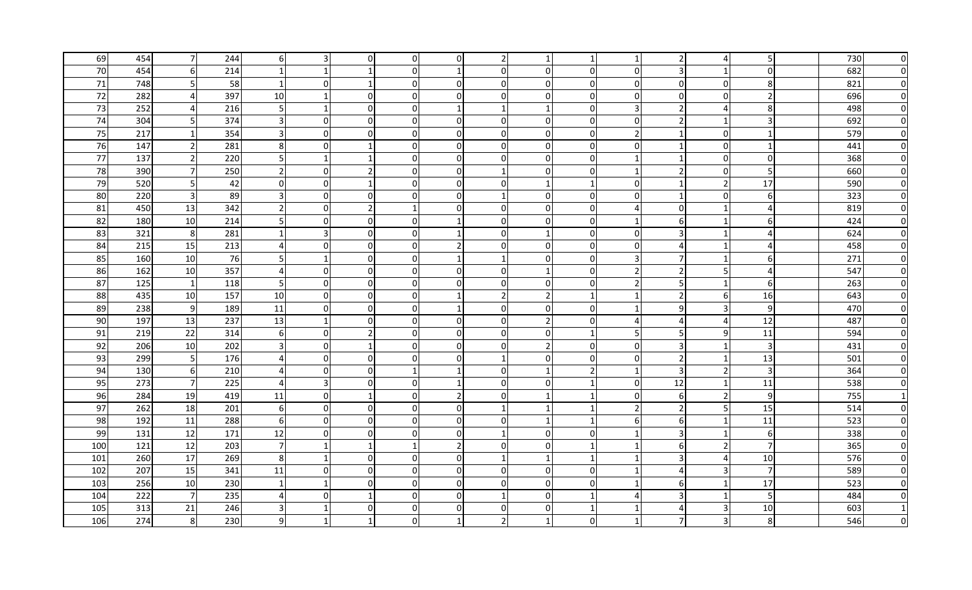| 69  | 454 | 7              | 244 | 61                      | 3              | $\overline{0}$   | 0              | 0              | 2              |              |                |                |                       | 4              | 5              | 730 | <sup>0</sup> |
|-----|-----|----------------|-----|-------------------------|----------------|------------------|----------------|----------------|----------------|--------------|----------------|----------------|-----------------------|----------------|----------------|-----|--------------|
| 70  | 454 | 6              | 214 |                         |                |                  | $\mathbf{0}$   |                | $\Omega$       |              | $\Omega$       | $\Omega$       | 3                     | $\mathbf{1}$   | $\overline{0}$ | 682 | O            |
| 71  | 748 | 5 <sup>1</sup> | 58  | <u>11</u>               | $\Omega$       | 1                | 0              | $\Omega$       | $\overline{0}$ | $\Omega$     | $\overline{0}$ | $\Omega$       | $\mathbf 0$           | $\overline{0}$ | 8 <sup>1</sup> | 821 |              |
| 72  | 282 | 4              | 397 | 10                      |                | $\mathbf 0$      | $\Omega$       | $\Omega$       | $\overline{0}$ | <sup>0</sup> | $\Omega$       | $\Omega$       | 0                     | $\overline{0}$ | $\overline{2}$ | 696 |              |
| 73  | 252 |                | 216 | 5 <sup>1</sup>          | 1              | $\overline{0}$   | 0              | 1              | $\mathbf{1}$   | $\mathbf 1$  | $\overline{0}$ | 3              | $\overline{2}$        | 4              | 8              | 498 |              |
| 74  | 304 | 5              | 374 | $\overline{3}$          | $\overline{0}$ | $\overline{0}$   | 0              | $\overline{0}$ | $\overline{0}$ | $\Omega$     | $\Omega$       | $\mathbf 0$    | $\overline{2}$        | 1              | $\vert$        | 692 |              |
| 75  | 217 | $\mathbf{1}$   | 354 | $\overline{3}$          | $\Omega$       | $\overline{0}$   | 0              | 0l             | $\overline{0}$ | $\Omega$     | $\Omega$       | $\overline{2}$ | $\mathbf{1}$          | $\overline{0}$ | $\mathbf{1}$   | 579 |              |
| 76  | 147 | $\overline{2}$ | 281 | 8                       | $\Omega$       | $\mathbf{1}$     | $\Omega$       | $\Omega$       | $\Omega$       | $\Omega$     | $\Omega$       | $\Omega$       | $\mathbf{1}$          | $\overline{0}$ | $\mathbf{1}$   | 441 |              |
| 77  | 137 | $\overline{2}$ | 220 | 5 <sub>l</sub>          | $\mathbf 1$    | $\mathbf{1}$     | 0              | $\overline{0}$ | οI             | $\Omega$     | $\overline{0}$ | $\overline{1}$ | $\mathbf{1}$          | $\overline{0}$ | $\overline{0}$ | 368 |              |
| 78  | 390 | $\overline{7}$ | 250 | $\overline{2}$          | $\overline{0}$ | $\overline{2}$   | 0              | $\overline{0}$ | $\mathbf{1}$   | $\Omega$     | $\overline{0}$ | $\overline{1}$ | $\overline{2}$        | $\overline{0}$ | 5 <sup>1</sup> | 660 |              |
| 79  | 520 | 5              | 42  | $\overline{0}$          | $\Omega$       | $\mathbf{1}$     | $\mathbf{0}$   | $\Omega$       | $\overline{0}$ |              | $\mathbf{1}$   | $\mathbf 0$    | 1                     | $\overline{2}$ | 17             | 590 |              |
| 80  | 220 | $\mathbf{3}$   | 89  | $\overline{3}$          | $\Omega$       | $\Omega$         | $\mathbf{0}$   | $\Omega$       |                | O            | $\Omega$       | $\Omega$       | $\mathbf{1}$          | $\overline{0}$ | $6 \mid$       | 323 | $\Omega$     |
| 81  | 450 | 13             | 342 | <b>21</b>               | $\overline{0}$ | $\overline{2}$   | $\mathbf{1}$   | $\Omega$       | $\overline{0}$ | U            | $\overline{0}$ | $\Delta$       | 0                     | 1              | 4              | 819 | $\Omega$     |
| 82  | 180 | 10             | 214 | 5 <sup>1</sup>          | $\overline{0}$ | $\mathbf 0$      | 0              |                | $\overline{0}$ | $\Omega$     | $\overline{0}$ | $\overline{1}$ | 6                     | 1              | 6 <sup>1</sup> | 424 | $\Omega$     |
| 83  | 321 | 8 <sup>°</sup> | 281 | $\mathbf{1}$            | $\overline{3}$ | $\mathbf 0$      | 0              |                | $\overline{0}$ |              | $\overline{0}$ | 0              | $\overline{3}$        | 1              | 4              | 624 | O            |
| 84  | 215 | 15             | 213 | $\overline{4}$          | $\overline{0}$ | $\overline{0}$   | 0              | $\mathcal{P}$  | $\overline{0}$ | $\Omega$     | $\overline{0}$ | 0              | 4                     | 1              | 4              | 458 | O            |
| 85  | 160 | 10             | 76  | 5 <sub>l</sub>          | $\mathbf{1}$   | $\overline{0}$   | $\overline{0}$ | 1              | $1\vert$       | $\Omega$     | $\overline{0}$ | $\overline{3}$ | 7                     | 1              | $6 \mid$       | 271 | O            |
| 86  | 162 | 10             | 357 | $\overline{4}$          | $\overline{0}$ | $\overline{0}$   | $\overline{0}$ | $\Omega$       | $\overline{0}$ |              | $\overline{0}$ | $\overline{2}$ | $\overline{2}$        | 5              | $\overline{4}$ | 547 | O            |
| 87  | 125 | $\mathbf{1}$   | 118 | 5 <sub>l</sub>          | $\overline{0}$ | $\mathbf 0$      | 0              | $\Omega$       | $\overline{0}$ | O            | $\overline{0}$ | $\overline{2}$ | 5                     | 1              | 6 <sup>1</sup> | 263 |              |
| 88  | 435 | 10             | 157 | 10                      | $\overline{0}$ | $\mathbf 0$      | 0              |                | $\overline{2}$ |              | -1             |                | $\overline{2}$        | $6 \mid$       | 16             | 643 |              |
| 89  | 238 | 9              | 189 | 11                      | $\overline{0}$ | $\mathbf 0$      | 0              |                | $\overline{0}$ | $\Omega$     | $\overline{0}$ |                | 9                     | 3              | 9              | 470 |              |
| 90  | 197 | 13             | 237 | 13                      | $\mathbf{1}$   | $\mathbf 0$      | 0              | 0              | $\overline{0}$ |              | $\overline{0}$ | 4              | 4                     | 4              | 12             | 487 |              |
| 91  | 219 | 22             | 314 | 6                       | $\Omega$       | $\overline{2}$   | $\mathbf{0}$   | $\Omega$       | $\overline{0}$ |              | -1             | 5              | .5                    | 9              | 11             | 594 |              |
| 92  | 206 | 10             | 202 | $\overline{\mathbf{3}}$ | $\overline{0}$ | $\mathbf{1}$     | $\mathbf{0}$   | $\Omega$       | $\overline{0}$ |              | $\overline{0}$ | 0              | 3                     | $\mathbf 1$    | $\overline{3}$ | 431 |              |
| 93  | 299 | 5 <sub>l</sub> | 176 | $\overline{4}$          | ΟI             | $\mathbf{0}$     |                | 0              |                |              | $\overline{0}$ | $\Omega$       | $\overline{2}$        |                | 13             | 501 |              |
| 94  | 130 | $6 \mid$       | 210 | 4 <sup>1</sup>          | $\overline{0}$ | $\mathbf 0$      |                |                | $\overline{0}$ |              | $\overline{2}$ | $\mathbf{1}$   | 3                     | $\overline{2}$ | $\overline{3}$ | 364 |              |
| 95  | 273 | $7\overline{}$ | 225 | $\overline{4}$          | $\overline{3}$ | $\mathbf 0$      | 0              |                | $\overline{0}$ | $\Omega$     | -1             | 0              | 12                    | 1              | 11             | 538 |              |
| 96  | 284 | 19             | 419 | 11                      | $\overline{0}$ | $\mathbf{1}$     | 0              | 2              | $\overline{0}$ | $\mathbf 1$  | 1              | $\mathbf 0$    | 6                     | $\overline{2}$ | 9              | 755 |              |
| 97  | 262 | 18             | 201 | $6 \mid$                | $\Omega$       | $\mathbf 0$      | 0              | $\overline{0}$ |                |              | $\mathbf{1}$   | $\overline{2}$ | $\overline{2}$        | 5              | 15             | 514 |              |
| 98  | 192 | 11             | 288 | 6                       | $\overline{0}$ | $\overline{0}$   | 0              | $\overline{0}$ | $\overline{0}$ |              | $\mathbf{1}$   | 6              | 6                     | $\mathbf 1$    | 11             | 523 |              |
| 99  | 131 | 12             | 171 | 12                      | $\Omega$       | $\boldsymbol{0}$ | $\mathbf{0}$   | $\Omega$       |                | $\Omega$     | $\Omega$       |                | $\mathbf{3}$          | $\mathbf{1}$   | 6 <sup>1</sup> | 338 |              |
| 100 | 121 | 12             | 203 | $\overline{7}$          |                | $\mathbf{1}$     |                | $\overline{2}$ | ΟI             | $\Omega$     | $\mathbf 1$    |                | 6                     | $\overline{2}$ | $\overline{7}$ | 365 |              |
| 101 | 260 | 17             | 269 | 8                       | $\mathbf{1}$   | $\mathbf 0$      | $\Omega$       | $\overline{0}$ | $\overline{1}$ | $\mathbf{1}$ | $\mathbf{1}$   | $\overline{1}$ | $\overline{3}$        | 4              | 10             | 576 |              |
| 102 | 207 | 15             | 341 | 11                      | $\Omega$       | $\Omega$         | $\mathbf{0}$   | $\Omega$       | $\Omega$       | O            | $\overline{0}$ | -1             | $\overline{a}$        | 3              | $\overline{7}$ | 589 |              |
| 103 | 256 | 10             | 230 | $\overline{1}$          | $\mathbf 1$    | $\Omega$         | $\Omega$       | $\Omega$       | $\Omega$       |              | $\overline{0}$ | $\mathbf{1}$   | 6                     | 1              | 17             | 523 |              |
| 104 | 222 | 7              | 235 | 4                       | $\Omega$       | $\mathbf 1$      | $\Omega$       | $\Omega$       |                |              | $\mathbf 1$    | Δ              | 3                     | $\mathbf 1$    | 5 <sup>1</sup> | 484 |              |
| 105 | 313 | 21             | 246 | $\overline{3}$          |                | $\Omega$         | $\mathbf{0}$   | $\Omega$       | 0              |              | $\mathbf 1$    |                | $\boldsymbol{\Delta}$ | $\overline{3}$ | 10             | 603 |              |
| 106 | 274 | $8 \,$         | 230 | 9                       |                |                  | n              |                | $\overline{2}$ |              | $\overline{0}$ |                | 7                     | $\overline{3}$ | 8 <sup>1</sup> | 546 |              |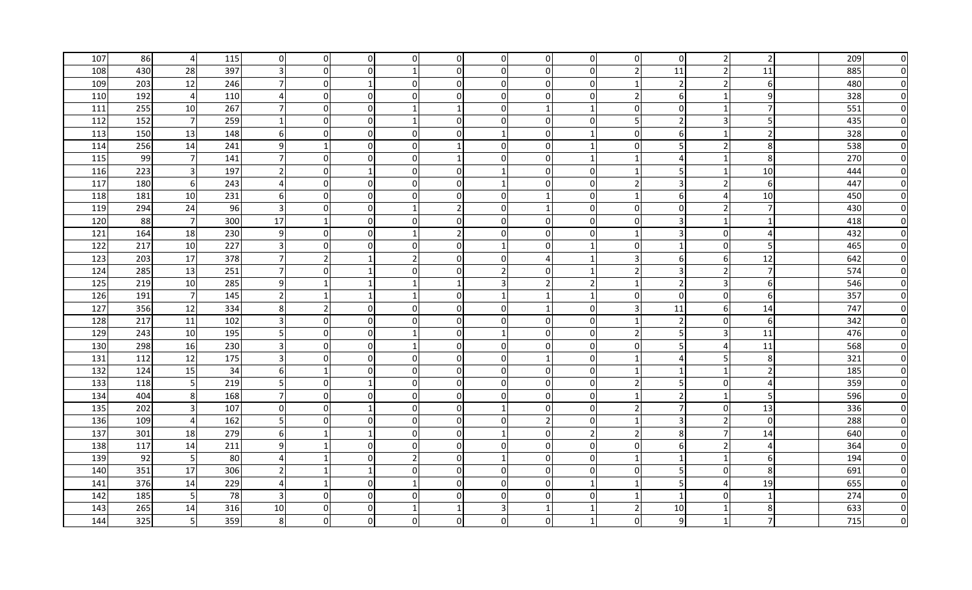| 107 | 86  | $\overline{4}$   | 115 | $\overline{0}$          | 0              | $\overline{0}$ | 0              | $\overline{0}$ | $\overline{0}$ | <sup>0</sup> | $\overline{0}$           | $\mathbf 0$             | 0              | 2                       | $\overline{2}$   | 209 | 0        |
|-----|-----|------------------|-----|-------------------------|----------------|----------------|----------------|----------------|----------------|--------------|--------------------------|-------------------------|----------------|-------------------------|------------------|-----|----------|
| 108 | 430 | 28               | 397 |                         | $\Omega$       | $\Omega$       |                | $\Omega$       | $\Omega$       |              | $\Omega$                 | $\overline{2}$          | 11             | $\overline{2}$          | 11               | 885 | $\Omega$ |
| 109 | 203 | 12               | 246 | 71                      | $\Omega$       |                | 0              | $\Omega$       | $\Omega$       |              | $\Omega$                 |                         | 2              | $\overline{2}$          | 6                | 480 | O        |
| 110 | 192 | $\overline{4}$   | 110 | $\overline{4}$          | 0              | $\overline{0}$ | 0              | $\overline{0}$ | $\overline{0}$ |              | $\mathbf 0$              | $\overline{2}$          | 6              | 1                       | 9                | 328 |          |
| 111 | 255 | 10               | 267 | 71                      | $\overline{0}$ | $\overline{0}$ | 1              |                | $\overline{0}$ |              | 1                        | 0                       | $\mathbf 0$    | 1                       | $\overline{7}$   | 551 |          |
| 112 | 152 | $7\overline{}$   | 259 |                         | 0              | $\overline{0}$ |                | $\Omega$       | $\Omega$       | 0            | $\mathbf{0}$             | 5                       | 2              | $\overline{3}$          | 5 <sup>1</sup>   | 435 |          |
| 113 | 150 | 13               | 148 | $6 \mid$                | $\Omega$       | $\overline{0}$ | $\overline{0}$ | $\Omega$       |                | $\Omega$     | -1                       | $\Omega$                | 6              | $\mathbf{1}$            | $\overline{2}$   | 328 |          |
| 114 | 256 | 14               | 241 | 9 <sub>l</sub>          | $\mathbf{1}$   | $\overline{0}$ | $\overline{0}$ |                | 0              | $\Omega$     | -1                       | 0                       | .5             | $\overline{2}$          | 8                | 538 |          |
| 115 | 99  | $\overline{7}$   | 141 | 7 <sup>1</sup>          | $\Omega$       | $\Omega$       | $\overline{0}$ |                | $\Omega$       | $\mathbf{0}$ | $\overline{\mathbf{1}}$  |                         | 4              | $\mathbf{1}$            | 8                | 270 |          |
| 116 | 223 | $\overline{3}$   | 197 | $\overline{2}$          | $\Omega$       | $\mathbf{1}$   | $\overline{0}$ | $\Omega$       |                | $\mathbf{0}$ | $\overline{0}$           | $\overline{1}$          | 5              | $\mathbf{1}$            | 10               | 444 |          |
| 117 | 180 | 6                | 243 | $\overline{4}$          | 0              | $\overline{0}$ | $\overline{0}$ | $\overline{0}$ |                | <sup>0</sup> | $\overline{0}$           | $\overline{2}$          | 3              | $\overline{2}$          | $6 \mid$         | 447 |          |
| 118 | 181 | 10               | 231 | $6 \mid$                | $\overline{0}$ | $\overline{0}$ | $\mathbf 0$    | $\Omega$       | $\overline{0}$ |              | $\Omega$                 | $\overline{1}$          | 6              | 4                       | 10               | 450 | $\Omega$ |
| 119 | 294 | 24               | 96  | 3 <sup>l</sup>          | $\Omega$       | $\overline{0}$ | $\mathbf{1}$   | $\overline{2}$ | $\Omega$       |              | $\Omega$                 | $\Omega$                | $\mathbf 0$    | $\overline{2}$          | $\overline{7}$   | 430 | O        |
| 120 | 88  | $7 \overline{ }$ | 300 | 17                      | $\mathbf{1}$   | $\Omega$       | $\Omega$       | $\Omega$       | $\Omega$       |              | $\Omega$                 | $\Omega$                | 3              | 1                       | $\mathbf{1}$     | 418 | O        |
| 121 | 164 | 18               | 230 | 9                       | $\Omega$       | $\overline{0}$ | $\mathbf 1$    | $\overline{2}$ | $\overline{0}$ | $\Omega$     | $\mathbf 0$              | -1                      | 3              | $\overline{0}$          | $\overline{4}$   | 432 | O        |
| 122 | 217 | 10               | 227 | 3 <sup>l</sup>          | $\Omega$       | $\Omega$       | 0              | $\overline{0}$ |                | 0            | -1                       | $\Omega$                | $\mathbf{1}$   | $\overline{0}$          | 5 <sup>1</sup>   | 465 | O        |
| 123 | 203 | 17               | 378 | 71                      | 2              | -1             | 2              | $\Omega$       | $\Omega$       | Δ            | -1                       | $\overline{3}$          | 6              | 6                       | 12               | 642 | O        |
| 124 | 285 | 13               | 251 | 7                       | 0              |                | 0              | $\overline{0}$ | $\overline{2}$ | 0            | -1                       | $\overline{2}$          | 3              | $\overline{2}$          | $\overline{7}$   | 574 | O        |
| 125 | 219 | 10               | 285 | 9                       | $\mathbf{1}$   |                |                | $\mathbf{1}$   | 3              |              | $\overline{2}$           |                         | $\overline{2}$ | $\overline{\mathbf{3}}$ | $6 \mid$         | 546 | 0        |
| 126 | 191 | $7\overline{}$   | 145 | $\overline{2}$          |                |                |                | $\Omega$       |                |              | -1                       | $\Omega$                | $\mathbf 0$    | $\overline{0}$          | $6 \overline{6}$ | 357 | 0        |
| 127 | 356 | 12               | 334 | 8 <sup>1</sup>          | 2              | $\overline{0}$ | 0              | $\Omega$       | $\Omega$       |              | $\overline{0}$           | 3                       | 11             | $6 \mid$                | 14               | 747 | 0        |
| 128 | 217 | 11               | 102 | $\overline{\mathbf{3}}$ | 0              | $\overline{0}$ | 0              | $\overline{0}$ | 0              | 0            | $\overline{0}$           | -1                      | $\overline{2}$ | $\overline{0}$          | $6 \mid$         | 342 |          |
| 129 | 243 | 10               | 195 | 5                       | 0              | $\mathbf 0$    |                | $\Omega$       |                | $\Omega$     | $\overline{0}$           | $\overline{2}$          | 5              | 3                       | 11               | 476 |          |
| 130 | 298 | 16               | 230 |                         | $\Omega$       | 0              |                | $\Omega$       | 0              |              | $\Omega$                 | $\Omega$                | 5              | 4                       | 11               | 568 |          |
| 131 | 112 | 12               | 175 |                         | 0              | 0              | 0              | $\overline{0}$ | 0              |              | 0                        |                         | $\Delta$       | 5                       | 8                | 321 |          |
| 132 | 124 | 15               | 34  | 6                       | $\mathbf{1}$   | $\overline{0}$ | 0              | $\overline{0}$ | $\overline{0}$ | 0            | $\overline{0}$           |                         | $\mathbf{1}$   | $\mathbf 1$             | $\overline{2}$   | 185 |          |
| 133 | 118 | 5 <sub>l</sub>   | 219 | 51                      | <sup>O</sup>   |                | $\overline{0}$ | $\overline{0}$ | $\overline{0}$ | 0            | $\overline{0}$           | $\overline{2}$          | 5              | $\overline{0}$          | $\overline{4}$   | 359 |          |
| 134 | 404 | 8 <sup>1</sup>   | 168 | 71                      | .OI            | $\Omega$       | $\overline{0}$ | $\Omega$       | $\Omega$       | $\Omega$     | $\Omega$                 | -1                      | 2              | 1                       | 5 <sup>1</sup>   | 596 |          |
| 135 | 202 | 3 <sup>1</sup>   | 107 | $\overline{0}$          | $\overline{0}$ |                | $\overline{0}$ | $\overline{0}$ |                | $\Omega$     | $\overline{0}$           | $\overline{2}$          | 7              | $\overline{0}$          | 13               | 336 |          |
| 136 | 109 | $\overline{4}$   | 162 | 5 <sub>l</sub>          | $\overline{0}$ | $\overline{0}$ | $\overline{0}$ | $\Omega$       | $\Omega$       |              | $\overline{0}$           | $\overline{\mathbf{1}}$ | 3              | $\mathbf 2$             | $\overline{0}$   | 288 |          |
| 137 | 301 | 18               | 279 | $6 \mid$                | $\mathbf 1$    |                | $\mathbf 0$    | $\Omega$       |                | $\Omega$     | $\overline{\phantom{a}}$ | $\overline{2}$          | 8              | $\overline{7}$          | 14               | 640 |          |
| 138 | 117 | 14               | 211 | 9 <sub>l</sub>          |                | $\mathbf 0$    | 0              | $\overline{0}$ | 0              | $\mathbf{0}$ | $\overline{0}$           | 0                       | 6              | $\overline{2}$          | $\overline{4}$   | 364 |          |
| 139 | 92  | 5                | 80  | $\overline{4}$          | $\mathbf{1}$   | $\mathbf 0$    | $\overline{2}$ | $\Omega$       | $\mathbf{1}$   | $\mathbf{0}$ | $\overline{0}$           | $\overline{\mathbf{1}}$ | $\mathbf{1}$   | $\mathbf{1}$            | $6 \overline{6}$ | 194 |          |
| 140 | 351 | 17               | 306 | $\overline{2}$          | -1             | $\mathbf{1}$   | $\Omega$       | $\Omega$       | $\Omega$       | $\Omega$     | $\Omega$                 | $\Omega$                | 5              | $\overline{0}$          | 8                | 691 |          |
| 141 | 376 | 14               | 229 | $\overline{4}$          | $\mathbf{1}$   | $\Omega$       |                | $\Omega$       | $\Omega$       |              | -1                       | $\mathbf{1}$            | 5              | 4                       | 19               | 655 | O        |
| 142 | 185 | 5 <sub>l</sub>   | 78  | $\overline{3}$          | $\Omega$       | $\overline{0}$ | $\Omega$       | 0              | $\Omega$       |              | 0                        |                         | $\mathbf{1}$   | $\overline{0}$          | $\mathbf{1}$     | 274 |          |
| 143 | 265 | 14               | 316 | 10                      | $\Omega$       | $\Omega$       |                |                | 3              |              | -1                       | $\overline{2}$          | 10             | $\mathbf{1}$            | 8 <sup>1</sup>   | 633 |          |
| 144 | 325 | 5 <sub>l</sub>   | 359 | 8                       | <sup>0</sup>   | $\Omega$       | 0              | 0              | ΩI             |              | -1                       | 0                       | 9              | 1                       | $\overline{7}$   | 715 |          |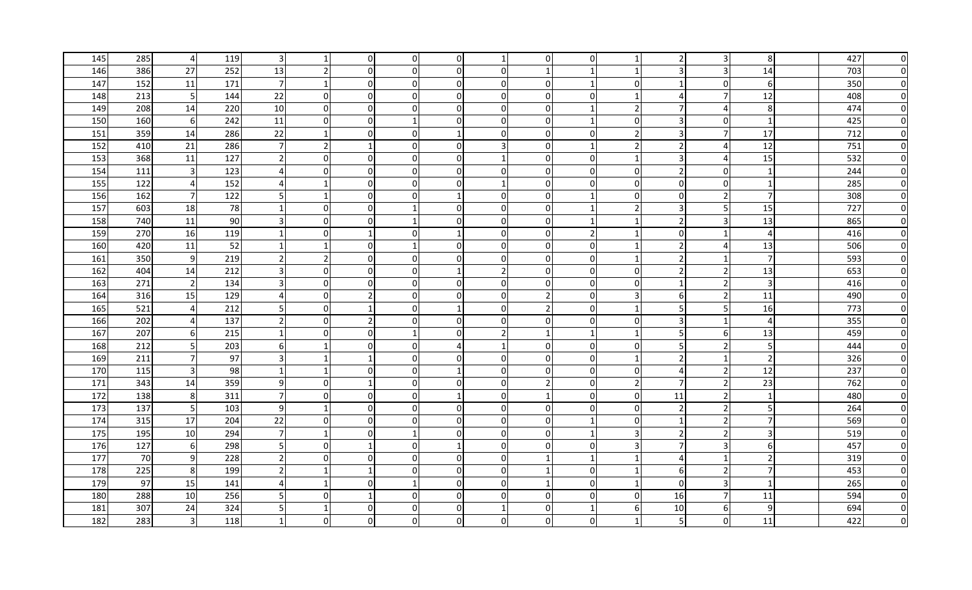| 145 | 285 | 4                | 119 | $\overline{\mathbf{3}}$ |                          | $\overline{0}$           | 0              | $\Omega$       |                |              | $\Omega$                |                          |                | 3              | 8              | 427 | O        |
|-----|-----|------------------|-----|-------------------------|--------------------------|--------------------------|----------------|----------------|----------------|--------------|-------------------------|--------------------------|----------------|----------------|----------------|-----|----------|
| 146 | 386 | 27               | 252 | 13                      | $\overline{\phantom{a}}$ | $\overline{0}$           | 0              | $\overline{0}$ | $\overline{0}$ |              | -1                      |                          |                | 3              | 14             | 703 | O        |
| 147 | 152 | 11               | 171 | $7 \vert$               | 1                        | $\overline{0}$           | $\overline{0}$ | $\overline{0}$ | $\overline{0}$ | $\Omega$     | -1                      | $\mathbf 0$              | 1              | $\overline{0}$ | $6 \mid$       | 350 |          |
| 148 | 213 | 5                | 144 | 22                      | 0                        | $\overline{0}$           | $\overline{0}$ | $\Omega$       | $\overline{0}$ | $\Omega$     | $\mathbf{0}$            |                          | 4              | $\overline{7}$ | 12             | 408 |          |
| 149 | 208 | 14               | 220 | 10                      | $\overline{0}$           | $\overline{0}$           | $\overline{0}$ | $\Omega$       | $\Omega$       | $\Omega$     | -1                      | $\overline{2}$           | -7             | 4              | 8              | 474 |          |
| 150 | 160 | 6                | 242 | 11                      | $\overline{0}$           | $\overline{0}$           | $\mathbf{1}$   | $\Omega$       | $\overline{0}$ | $\Omega$     | -1                      | $\mathbf 0$              | 3              | $\overline{0}$ | $\mathbf{1}$   | 425 |          |
| 151 | 359 | 14               | 286 | 22                      | -1                       | $\overline{0}$           | $\overline{0}$ |                | $\Omega$       | $\mathbf{0}$ | $\overline{0}$          | $\overline{2}$           | 3              | $\overline{7}$ | 17             | 712 |          |
| 152 | 410 | 21               | 286 | 7 <sup>1</sup>          | $\overline{2}$           | $\mathbf{1}$             | $\overline{0}$ | $\overline{0}$ | 3              | $\Omega$     | -1                      | $\overline{2}$           | $\overline{2}$ | 4              | 12             | 751 |          |
| 153 | 368 | 11               | 127 | $\overline{2}$          | $\Omega$                 | $\overline{0}$           | $\overline{0}$ | $\Omega$       |                | $\Omega$     | $\overline{0}$          | -1                       | 3              | 4              | 15             | 532 |          |
| 154 | 111 | $\mathbf{3}$     | 123 | $\overline{4}$          | 0                        | $\overline{0}$           | $\overline{0}$ | $\overline{0}$ | $\overline{0}$ | $\Omega$     | $\overline{0}$          | 0                        | $\overline{2}$ | $\overline{0}$ | $\mathbf{1}$   | 244 |          |
| 155 | 122 | $\overline{4}$   | 152 | $\overline{4}$          | $\mathbf{1}$             | $\Omega$                 | $\mathbf 0$    | $\Omega$       |                | $\Omega$     | $\Omega$                | $\Omega$                 | $\mathbf 0$    | $\overline{0}$ | $\mathbf{1}$   | 285 | $\Omega$ |
| 156 | 162 | $7 \overline{ }$ | 122 | 5 <sub>l</sub>          | $\mathbf{1}$             | $\Omega$                 | $\Omega$       |                | $\Omega$       |              | $\overline{\mathbf{1}}$ | $\Omega$                 | 0              | $\overline{2}$ | $\overline{7}$ | 308 | $\Omega$ |
| 157 | 603 | 18               | 78  |                         | <sup>0</sup>             | $\Omega$                 |                | $\Omega$       | 0              |              | -1                      | $\overline{\phantom{a}}$ | 3              | 5              | 15             | 727 | O        |
| 158 | 740 | 11               | 90  | 3 <sup>l</sup>          | 0                        | $\overline{0}$           |                | $\overline{0}$ | $\overline{0}$ | 0            | 1                       | -1                       | $\overline{2}$ | $\overline{3}$ | 13             | 865 | O        |
| 159 | 270 | 16               | 119 | 1                       | $\overline{0}$           | 1                        | 0              | 1              | $\overline{0}$ | $\Omega$     | $\overline{2}$          | -1                       | 0              | 1              | $\overline{4}$ | 416 | O        |
| 160 | 420 | 11               | 52  | 1                       | -1                       | $\overline{0}$           |                | $\Omega$       | $\Omega$       | 0            | 0                       | -1                       | 2              | 4              | 13             | 506 | O        |
| 161 | 350 | 9                | 219 | <b>21</b>               | 2                        | $\overline{0}$           | $\overline{0}$ | $\Omega$       | $\Omega$       | $\Omega$     | $\Omega$                |                          | 2              | 1              | $\overline{7}$ | 593 | O        |
| 162 | 404 | 14               | 212 | $\overline{\mathbf{3}}$ | 0                        | $\overline{0}$           | $\overline{0}$ |                | $\overline{2}$ | $\Omega$     | $\overline{0}$          | $\Omega$                 | 2              | $\overline{2}$ | 13             | 653 | O        |
| 163 | 271 | $\overline{2}$   | 134 | $\overline{\mathbf{3}}$ | $\overline{0}$           | $\overline{0}$           | $\overline{0}$ | $\overline{0}$ | 0              | 0            | $\overline{0}$          | 0                        | $\mathbf{1}$   | $\mathbf 2$    | $\overline{3}$ | 416 |          |
| 164 | 316 | 15               | 129 | $\overline{4}$          | 0                        | $\overline{2}$           | $\mathbf 0$    | $\overline{0}$ | $\Omega$       |              | $\overline{0}$          | $\overline{3}$           | 6              | $\overline{2}$ | 11             | 490 |          |
| 165 | 521 | $\overline{4}$   | 212 | 5                       | $\Omega$                 |                          | $\Omega$       |                | $\Omega$       |              | 0                       | -1                       | 5              | 5              | 16             | 773 |          |
| 166 | 202 | $\overline{4}$   | 137 | $\overline{2}$          | $\Omega$                 | $\overline{\phantom{a}}$ | $\Omega$       | $\Omega$       | $\Omega$       |              | $\Omega$                | $\Omega$                 | 3              | $\mathbf{1}$   | $\overline{4}$ | 355 |          |
| 167 | 207 | $6 \mid$         | 215 |                         | 0                        | $\mathbf 0$              |                | $\Omega$       | $\overline{2}$ |              |                         |                          | 5              | $6 \mid$       | 13             | 459 |          |
| 168 | 212 | 5 <sub>l</sub>   | 203 | 61                      |                          | $\Omega$                 | 0              |                |                |              | $\mathbf{0}$            | $\Omega$                 | .5             | $\overline{2}$ | 5 <sup>1</sup> | 444 |          |
| 169 | 211 | $\overline{7}$   | 97  |                         |                          |                          | 0              | $\Omega$       | $\Omega$       |              | $\Omega$                |                          | 2              | 1              | $\overline{2}$ | 326 |          |
| 170 | 115 | $\mathbf{3}$     | 98  |                         | 1                        | $\overline{0}$           | $\pmb{0}$      |                | $\overline{0}$ | $\Omega$     | $\Omega$                | 0                        | $\overline{a}$ | $\overline{2}$ | 12             | 237 |          |
| 171 | 343 | 14               | 359 | 9                       | 0                        |                          | $\overline{0}$ | $\overline{0}$ | $\overline{0}$ |              | $\overline{0}$          | $\overline{2}$           | 7              | $\overline{2}$ | 23             | 762 |          |
| 172 | 138 | 8 <sup>1</sup>   | 311 | 7                       | $\Omega$                 | $\overline{0}$           | $\overline{0}$ |                | $\overline{0}$ |              | $\overline{0}$          | 0                        | 11             | $\overline{2}$ | $\mathbf{1}$   | 480 |          |
| 173 | 137 | 5 <sub>l</sub>   | 103 | 9                       | -1                       | $\overline{0}$           | $\overline{0}$ | $\Omega$       | $\overline{0}$ | $\Omega$     | $\Omega$                | 0                        | 2              | $\mathbf 2$    | 5 <sup>1</sup> | 264 |          |
| 174 | 315 | 17               | 204 | 22                      | $\Omega$                 | $\overline{0}$           | 0              | $\Omega$       | $\Omega$       | $\Omega$     | -1                      | $\Omega$                 | $\mathbf{1}$   | $\overline{2}$ | $\overline{7}$ | 569 |          |
| 175 | 195 | 10               | 294 | $\overline{7}$          | $\mathbf{1}$             | $\mathbf 0$              |                | $\overline{0}$ | $\overline{0}$ | $\mathbf{0}$ | -1                      | $\overline{3}$           | $\overline{2}$ | $\overline{2}$ | 3              | 519 |          |
| 176 | 127 | 6                | 298 | 5 <sub>l</sub>          | $\Omega$                 |                          | $\mathbf 0$    | $\mathbf 1$    | $\overline{0}$ | $\mathbf{0}$ | $\overline{0}$          | $\overline{3}$           | $\overline{7}$ | 3              | 6 <sup>1</sup> | 457 |          |
| 177 | 70  | 9                | 228 | $\overline{2}$          | $\Omega$                 | $\Omega$                 | $\mathbf 0$    | $\Omega$       | $\Omega$       |              | $\overline{1}$          | $\overline{1}$           | $\overline{a}$ | $\mathbf{1}$   | $\overline{2}$ | 319 |          |
| 178 | 225 | 8 <sup>°</sup>   | 199 | $\overline{2}$          | $\mathbf{1}$             | $\mathbf{1}$             | $\Omega$       | $\Omega$       | $\Omega$       |              | $\Omega$                | -1                       | 6              | $\overline{2}$ | $\overline{7}$ | 453 |          |
| 179 | 97  | 15               | 141 | $\Delta$                | $\mathbf{1}$             | 0                        |                | $\Omega$       | 0              |              | $\overline{0}$          | $\mathbf{1}$             | 0              | 3              | $\mathbf{1}$   | 265 | O        |
| 180 | 288 | 10               | 256 | 5                       | $\Omega$                 |                          | $\Omega$       | $\Omega$       | $\Omega$       |              | $\Omega$                | $\Omega$                 | 16             | $\overline{7}$ | 11             | 594 |          |
| 181 | 307 | 24               | 324 | 5 <sub>l</sub>          | -1                       | $\Omega$                 | 0              | $\Omega$       |                |              | -1                      | 6                        | 10             | $6 \mid$       | 9              | 694 |          |
| 182 | 283 | $\overline{3}$   | 118 |                         | n                        | $\Omega$                 | $\Omega$       | <sup>0</sup>   | n              |              | 0                       |                          | 5              | $\overline{0}$ | 11             | 422 |          |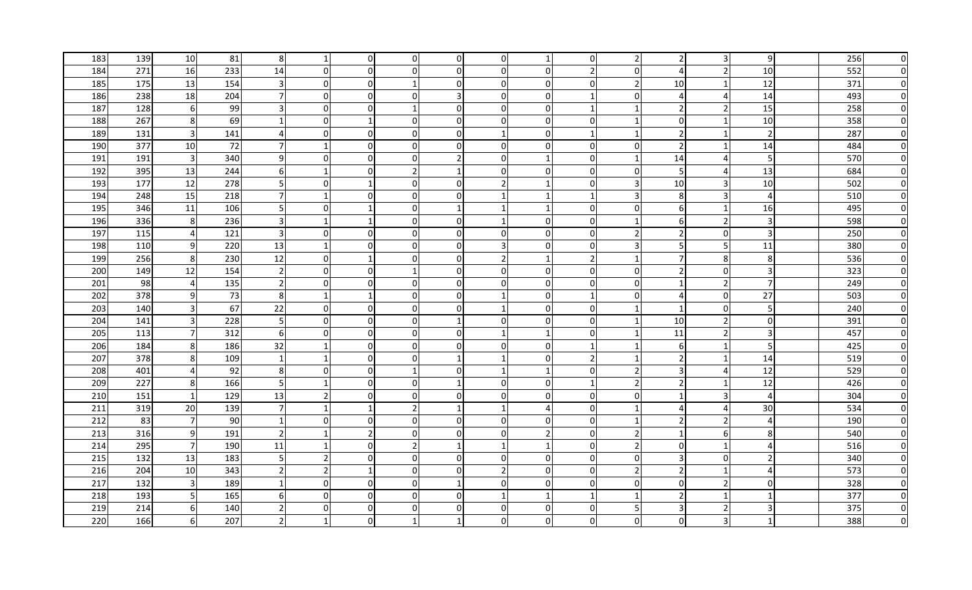| 183 | 139 | 10                      | 81  | 8 <sup>1</sup>          |                          | $\overline{0}$ | $\overline{0}$ | $\overline{0}$ | 01             |              | $\overline{0}$ | 2                       |                | 3              | 9                     | 256 | 0            |
|-----|-----|-------------------------|-----|-------------------------|--------------------------|----------------|----------------|----------------|----------------|--------------|----------------|-------------------------|----------------|----------------|-----------------------|-----|--------------|
| 184 | 271 | 16                      | 233 | 14                      | $\Omega$                 | $\overline{0}$ | 0              | $\Omega$       | $\Omega$       |              | $\mathcal{P}$  | $\Omega$                | $\Delta$       | $\overline{2}$ | 10                    | 552 | $\mathbf{0}$ |
| 185 | 175 | 13                      | 154 | $\overline{\mathsf{3}}$ | $\Omega$                 | $\overline{0}$ | 1              | $\overline{0}$ | $\overline{0}$ | 0            | $\Omega$       | $\overline{2}$          | 10             | 1              | 12                    | 371 | $\Omega$     |
| 186 | 238 | 18                      | 204 | $7 \,$                  | $\Omega$                 | $\Omega$       | 0              | 3              | $\Omega$       | 0            | -1             | $\Omega$                | 4              | 4              | 14                    | 493 | ŋ            |
| 187 | 128 | 6                       | 99  | $\overline{\mathbf{3}}$ | $\overline{0}$           | $\mathbf 0$    | 1              | $\overline{0}$ | $\overline{0}$ | $\Omega$     | -1             | -1                      | 2              | $\overline{2}$ | 15                    | 258 | n            |
| 188 | 267 | 8 <sup>°</sup>          | 69  | $\mathbf{1}$            | $\overline{0}$           | $\mathbf 1$    | $\overline{0}$ | $\Omega$       | $\overline{0}$ | $\Omega$     | $\Omega$       | $\overline{\mathbf{1}}$ | 0              | 1              | 10                    | 358 |              |
| 189 | 131 | $\overline{\mathbf{3}}$ | 141 | $\overline{4}$          | $\Omega$                 | $\overline{0}$ | $\overline{0}$ | $\Omega$       |                | $\Omega$     | -1             | -1                      | 2              | 1              | $\overline{2}$        | 287 |              |
| 190 | 377 | 10                      | 72  | 7 <sup>1</sup>          |                          | $\Omega$       | 0              | $\Omega$       | $\Omega$       |              | $\Omega$       | $\Omega$                | 2              |                | 14                    | 484 |              |
| 191 | 191 | $\mathbf{3}$            | 340 | 9                       | $\Omega$                 | $\mathbf 0$    | 0              | $\overline{2}$ | $\overline{0}$ |              | $\overline{0}$ |                         | 14             | 4              | 5                     | 570 | 0            |
| 192 | 395 | 13                      | 244 | $6 \mid$                | $\overline{1}$           | $\mathbf 0$    | $\overline{2}$ | $\mathbf{1}$   | $\Omega$       | $\mathbf{0}$ | $\Omega$       | $\Omega$                | 5              | 4              | 13                    | 684 | 0            |
| 193 | 177 | 12                      | 278 | 5 <sub>l</sub>          | $\Omega$                 |                | $\mathbf 0$    | $\Omega$       | 2 <sub>l</sub> |              | $\mathbf{0}$   | 3                       | 10             | 3              | 10                    | 502 | $\Omega$     |
| 194 | 248 | 15                      | 218 | 71                      | 1                        | $\Omega$       | 0              | $\Omega$       |                |              | -1             | 3                       | 8              | 3              | $\overline{4}$        | 510 | $\mathbf{0}$ |
| 195 | 346 | 11                      | 106 | 5                       | $\Omega$                 |                | 0              | $\mathbf 1$    |                |              | 0              | $\Omega$                | 6              | 1              | 16                    | 495 | 0            |
| 196 | 336 | 8 <sup>°</sup>          | 236 | $\overline{\mathsf{3}}$ | $\overline{1}$           | $\mathbf 1$    | $\mathbf 0$    | $\Omega$       |                | O            | $\mathbf{0}$   | $\mathbf{1}$            | 6              | $\overline{2}$ | $\overline{3}$        | 598 | $\Omega$     |
| 197 | 115 | $\overline{4}$          | 121 | 3 <sup>l</sup>          | $\Omega$                 | $\Omega$       | 0              | $\Omega$       | $\Omega$       | $\Omega$     | 0              | $\overline{2}$          | 2              | $\overline{0}$ | $\overline{3}$        | 250 | $\Omega$     |
| 198 | 110 | 9                       | 220 | 13                      | $\mathbf{1}$             | $\mathbf 0$    | 0              | $\overline{0}$ | 3              | $\Omega$     | $\overline{0}$ | 3                       | 5              | 5              | 11                    | 380 | $\Omega$     |
| 199 | 256 | 8 <sup>1</sup>          | 230 | 12                      | 0                        | $\mathbf 1$    | $\mathbf 0$    | $\Omega$       | $\overline{2}$ |              | $\overline{2}$ | -1                      | 7              | 8              | 8                     | 536 | $\Omega$     |
| 200 | 149 | 12                      | 154 | $\overline{2}$          | $\overline{0}$           | $\overline{0}$ | 1              | $\Omega$       | $\Omega$       | 0            | $\overline{0}$ | 0                       | 2              | $\overline{0}$ | $\overline{3}$        | 323 | $\Omega$     |
| 201 | 98  | $\overline{4}$          | 135 | $\overline{2}$          | $\Omega$                 | $\overline{0}$ | 0              | $\Omega$       | 0              | $\Omega$     | $\Omega$       | $\Omega$                | $\mathbf{1}$   | $\overline{2}$ | $\overline{7}$        | 249 | 0            |
| 202 | 378 | 9                       | 73  | 8 <sup>1</sup>          |                          |                | 0              | $\overline{0}$ |                |              | -1             | 0                       | 4              | $\overline{0}$ | 27                    | 503 | 0            |
| 203 | 140 | $\overline{3}$          | 67  | 22                      | $\overline{0}$           | $\overline{0}$ | 0              | $\overline{0}$ |                | 0            | $\overline{0}$ | -1                      | $\mathbf{1}$   | $\overline{0}$ | 5                     | 240 | $\Omega$     |
| 204 | 141 | $\overline{3}$          | 228 | 5 <sub>l</sub>          | 0                        | $\overline{0}$ | $\mathbf 0$    |                | $\Omega$       | 0            | 0 I            | -1                      | 10             | $\overline{2}$ | $\overline{0}$        | 391 | $\Omega$     |
| 205 | 113 | $7\phantom{.0}$         | 312 | $6 \mid$                | $\Omega$                 | $\overline{0}$ | $\Omega$       | $\Omega$       |                |              | $\Omega$       | -1                      | 11             | $\overline{2}$ | $\overline{3}$        | 457 | $\mathbf{0}$ |
| 206 | 184 | 8 <sup>1</sup>          | 186 | 32                      | $\mathbf{1}$             | $\overline{0}$ | $\overline{0}$ | $\overline{0}$ | 0              | n            | -1             |                         | 6              | 1              | 5 <sup>1</sup>        | 425 | $\Omega$     |
| 207 | 378 | 8 <sup>1</sup>          | 109 | 1                       | -1                       | $\overline{0}$ | 0              |                |                |              | $\overline{2}$ |                         | $\overline{2}$ | 1              | 14                    | 519 | $\Omega$     |
| 208 | 401 | 4                       | 92  | 8 <sup>1</sup>          | $\Omega$                 | $\overline{0}$ |                | $\overline{0}$ |                |              | $\Omega$       | $\overline{2}$          | 3              | 4              | 12                    | 529 | <sup>0</sup> |
| 209 | 227 | 8 <sup>1</sup>          | 166 | 5                       | $\mathbf{1}$             | $\overline{0}$ | 0              |                | $\Omega$       | 0            | -1             | $\overline{2}$          | 2              | -1             | 12                    | 426 |              |
| 210 | 151 | $\mathbf{1}$            | 129 | 13                      | 2                        | $\overline{0}$ | 0              | $\overline{0}$ | $\overline{0}$ | $\Omega$     | $\overline{0}$ | 0                       | 1              | 3              | $\overline{4}$        | 304 |              |
| 211 | 319 | 20                      | 139 | $\overline{7}$          | $\mathbf{1}$             | $\mathbf 1$    | $\overline{2}$ |                |                |              | $\overline{0}$ | -1                      | $\overline{a}$ | 4              | 30                    | 534 |              |
| 212 | 83  | $\overline{7}$          | 90  | 1                       | $\Omega$                 | $\overline{0}$ | 0              | $\Omega$       | $\Omega$       | 0            | 0I             | -1                      | 2              | $\overline{2}$ | $\overline{4}$        | 190 |              |
| 213 | 316 | $9\,$                   | 191 | $\overline{2}$          |                          | $\mathcal{P}$  | 0              | $\Omega$       | $\Omega$       |              | $\Omega$       | $\overline{2}$          | $\mathbf{1}$   | $6 \mid$       | 8                     | 540 |              |
| 214 | 295 | $\overline{7}$          | 190 | 11                      |                          | $\mathbf 0$    | $\overline{2}$ | $\mathbf 1$    |                |              | $\overline{0}$ | $\overline{2}$          | $\mathbf 0$    | $\mathbf{1}$   | $\overline{4}$        | 516 | 0            |
| 215 | 132 | 13                      | 183 | 5                       | $\overline{2}$           | $\overline{0}$ | $\mathbf 0$    | $\Omega$       | $\Omega$       | $\mathbf{0}$ | $\Omega$       | $\Omega$                | 3              | $\overline{0}$ | $\overline{2}$        | 340 | $\Omega$     |
| 216 | 204 | 10                      | 343 | $\overline{2}$          | $\overline{\phantom{a}}$ | -1             | $\Omega$       | $\Omega$       | $\overline{2}$ | $\Omega$     | $\Omega$       | $\overline{2}$          | $\overline{2}$ | $\mathbf{1}$   | $\boldsymbol{\Delta}$ | 573 | O            |
| 217 | 132 | $\mathbf{3}$            | 189 |                         | $\Omega$                 | $\Omega$       | $\Omega$       |                | $\Omega$       |              | $\Omega$       | $\Omega$                | 0              | $\overline{2}$ | $\overline{0}$        | 328 | $\mathbf{0}$ |
| 218 | 193 | 5 <sub>l</sub>          | 165 | 61                      | $\Omega$                 | $\Omega$       | 0              | $\Omega$       |                |              | -1             |                         | $\mathcal{P}$  | 1              | 1                     | 377 | $\Omega$     |
| 219 | 214 | $6 \mid$                | 140 | 2I                      | <sup>0</sup>             | $\Omega$       | 0              | $\Omega$       | $\Omega$       |              | 0              | 5                       | 3              | $\overline{2}$ | $\overline{3}$        | 375 | $\Omega$     |
| 220 | 166 | 6                       | 207 | 21                      |                          | $\Omega$       |                |                | U              |              | 0              | $\Omega$                | 0              | $\overline{3}$ | 1                     | 388 | O            |